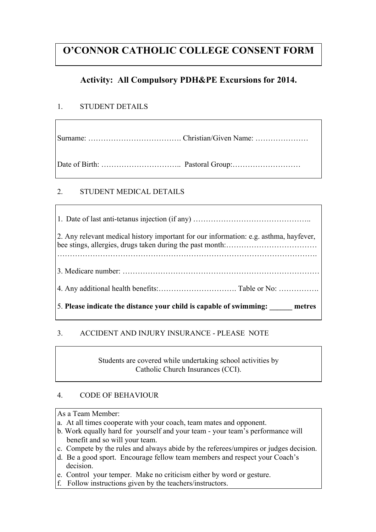# **O'CONNOR CATHOLIC COLLEGE CONSENT FORM**

## **Activity: All Compulsory PDH&PE Excursions for 2014.**

### 1. STUDENT DETAILS

Γ

Surname: ………………………………. Christian/Given Name: …………………

Date of Birth: ………………………….. Pastoral Group:………………………

### 2. STUDENT MEDICAL DETAILS

| 2. Any relevant medical history important for our information: e.g. asthma, hayfever, |
|---------------------------------------------------------------------------------------|
|                                                                                       |
|                                                                                       |
| $\vert$ 5. Please indicate the distance your child is capable of swimming: metres     |

### 3. ACCIDENT AND INJURY INSURANCE - PLEASE NOTE

Students are covered while undertaking school activities by Catholic Church Insurances (CCI).

### 4. CODE OF BEHAVIOUR

As a Team Member:

- a. At all times cooperate with your coach, team mates and opponent.
- b. Work equally hard for yourself and your team your team's performance will benefit and so will your team.
- c. Compete by the rules and always abide by the referees/umpires or judges decision.
- d. Be a good sport. Encourage fellow team members and respect your Coach's decision.
- e. Control your temper. Make no criticism either by word or gesture.
- f. Follow instructions given by the teachers/instructors.